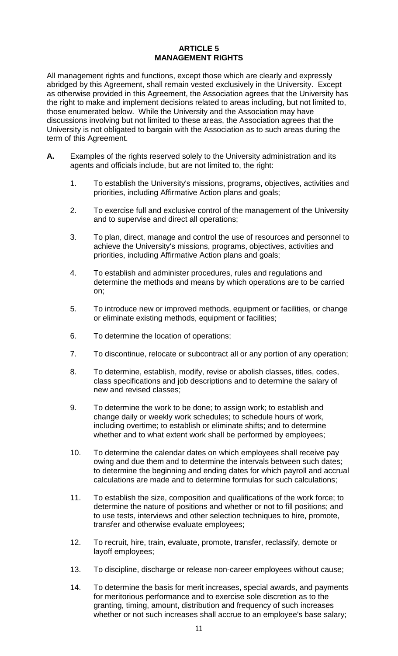## **ARTICLE 5 MANAGEMENT RIGHTS**

All management rights and functions, except those which are clearly and expressly abridged by this Agreement, shall remain vested exclusively in the University. Except as otherwise provided in this Agreement, the Association agrees that the University has the right to make and implement decisions related to areas including, but not limited to, those enumerated below. While the University and the Association may have discussions involving but not limited to these areas, the Association agrees that the University is not obligated to bargain with the Association as to such areas during the term of this Agreement.

- **A.** Examples of the rights reserved solely to the University administration and its agents and officials include, but are not limited to, the right:
	- 1. To establish the University's missions, programs, objectives, activities and priorities, including Affirmative Action plans and goals;
	- 2. To exercise full and exclusive control of the management of the University and to supervise and direct all operations;
	- 3. To plan, direct, manage and control the use of resources and personnel to achieve the University's missions, programs, objectives, activities and priorities, including Affirmative Action plans and goals;
	- 4. To establish and administer procedures, rules and regulations and determine the methods and means by which operations are to be carried on;
	- 5. To introduce new or improved methods, equipment or facilities, or change or eliminate existing methods, equipment or facilities;
	- 6. To determine the location of operations;
	- 7. To discontinue, relocate or subcontract all or any portion of any operation;
	- 8. To determine, establish, modify, revise or abolish classes, titles, codes, class specifications and job descriptions and to determine the salary of new and revised classes;
	- 9. To determine the work to be done; to assign work; to establish and change daily or weekly work schedules; to schedule hours of work, including overtime; to establish or eliminate shifts; and to determine whether and to what extent work shall be performed by employees;
	- 10. To determine the calendar dates on which employees shall receive pay owing and due them and to determine the intervals between such dates; to determine the beginning and ending dates for which payroll and accrual calculations are made and to determine formulas for such calculations;
	- 11. To establish the size, composition and qualifications of the work force; to determine the nature of positions and whether or not to fill positions; and to use tests, interviews and other selection techniques to hire, promote, transfer and otherwise evaluate employees;
	- 12. To recruit, hire, train, evaluate, promote, transfer, reclassify, demote or layoff employees;
	- 13. To discipline, discharge or release non-career employees without cause;
	- 14. To determine the basis for merit increases, special awards, and payments for meritorious performance and to exercise sole discretion as to the granting, timing, amount, distribution and frequency of such increases whether or not such increases shall accrue to an employee's base salary;